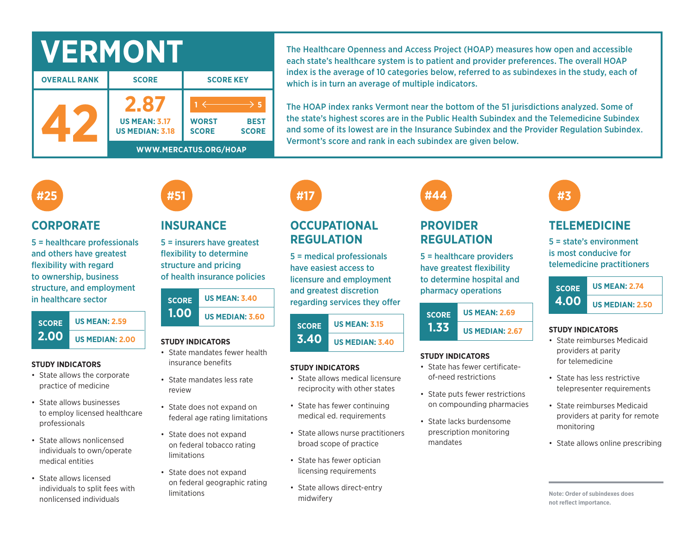| <b>OVERALL RANK</b> | <b>SCORE</b> |
|---------------------|--------------|

| <b>OVERALL RANK</b> | <b>SCORE</b>                                   | <b>SCORE KEY</b>             |                             |  |  |
|---------------------|------------------------------------------------|------------------------------|-----------------------------|--|--|
|                     | <b>US MEAN: 3.17</b><br><b>US MEDIAN: 3.18</b> | <b>WORST</b><br><b>SCORE</b> | <b>BEST</b><br><b>SCORE</b> |  |  |
|                     | WWW.MERCATUS.ORG/HOAP                          |                              |                             |  |  |

The Healthcare Openness and Access Project (HOAP) measures how open and accessible each state's healthcare system is to patient and provider preferences. The overall HOAP index is the average of 10 categories below, referred to as subindexes in the study, each of which is in turn an average of multiple indicators.

The HOAP index ranks Vermont near the bottom of the 51 jurisdictions analyzed. Some of the state's highest scores are in the Public Health Subindex and the Telemedicine Subindex and some of its lowest are in the Insurance Subindex and the Provider Regulation Subindex. Vermont's score and rank in each subindex are given below.

## **#25**

### **CORPORATE**

5 = healthcare professionals and others have greatest flexibility with regard to ownership, business structure, and employment in healthcare sector



#### **STUDY INDICATORS**

- State allows the corporate practice of medicine
- State allows businesses to employ licensed healthcare professionals
- State allows nonlicensed individuals to own/operate medical entities
- State allows licensed individuals to split fees with nonlicensed individuals

## **INSURANCE**

**#51**

5 = insurers have greatest flexibility to determine structure and pricing of health insurance policies

| <b>SCORE</b> | <b>US MEAN: 3.40</b>   |  |  |  |  |
|--------------|------------------------|--|--|--|--|
| 1.00         | <b>US MEDIAN: 3.60</b> |  |  |  |  |

#### **STUDY INDICATORS**

- State mandates fewer health insurance benefits
- State mandates less rate review
- State does not expand on federal age rating limitations
- State does not expand on federal tobacco rating limitations
- State does not expand on federal geographic rating limitations

# **#17**

## **OCCUPATIONAL REGULATION**

5 = medical professionals have easiest access to licensure and employment and greatest discretion regarding services they offer

#### **SCORE 3.40 US MEAN: 3.15 US MEDIAN: 3.40**

### **STUDY INDICATORS**

- State allows medical licensure reciprocity with other states
- State has fewer continuing medical ed. requirements
- State allows nurse practitioners broad scope of practice
- State has fewer optician licensing requirements
- State allows direct-entry midwifery

# **#44**

## **PROVIDER REGULATION**

5 = healthcare providers have greatest flexibility to determine hospital and pharmacy operations

| <b>SCORE</b> | <b>US MEAN: 2.69</b>   |
|--------------|------------------------|
| 1.33         | <b>US MEDIAN: 2.67</b> |

### **STUDY INDICATORS**

- State has fewer certificateof-need restrictions
- State puts fewer restrictions on compounding pharmacies
- State lacks burdensome prescription monitoring mandates

## **TELEMEDICINE**

**#3**

5 = state's environment is most conducive for telemedicine practitioners



#### **STUDY INDICATORS**

- State reimburses Medicaid providers at parity for telemedicine
- State has less restrictive telepresenter requirements
- State reimburses Medicaid providers at parity for remote monitoring
- State allows online prescribing

**Note: Order of subindexes does not reflect importance.**